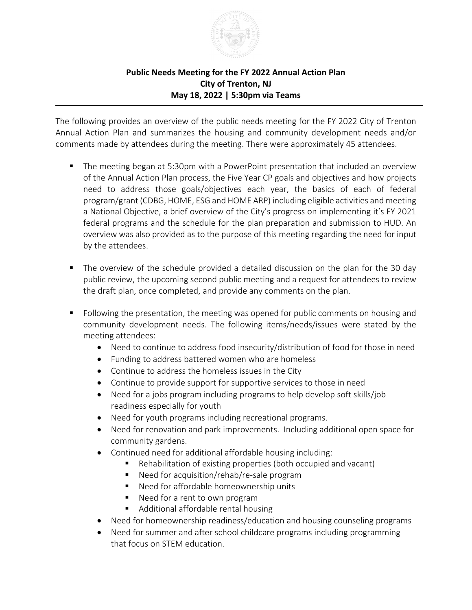

## **Public Needs Meeting for the FY 2022 Annual Action Plan City of Trenton, NJ May 18, 2022 | 5:30pm via Teams**

The following provides an overview of the public needs meeting for the FY 2022 City of Trenton Annual Action Plan and summarizes the housing and community development needs and/or comments made by attendees during the meeting. There were approximately 45 attendees.

- The meeting began at 5:30pm with a PowerPoint presentation that included an overview of the Annual Action Plan process, the Five Year CP goals and objectives and how projects need to address those goals/objectives each year, the basics of each of federal program/grant (CDBG, HOME, ESG and HOME ARP) including eligible activities and meeting a National Objective, a brief overview of the City's progress on implementing it's FY 2021 federal programs and the schedule for the plan preparation and submission to HUD. An overview was also provided as to the purpose of this meeting regarding the need for input by the attendees.
- The overview of the schedule provided a detailed discussion on the plan for the 30 day public review, the upcoming second public meeting and a request for attendees to review the draft plan, once completed, and provide any comments on the plan.
- **F** Following the presentation, the meeting was opened for public comments on housing and community development needs. The following items/needs/issues were stated by the meeting attendees:
	- Need to continue to address food insecurity/distribution of food for those in need
	- Funding to address battered women who are homeless
	- Continue to address the homeless issues in the City
	- Continue to provide support for supportive services to those in need
	- Need for a jobs program including programs to help develop soft skills/job readiness especially for youth
	- Need for youth programs including recreational programs.
	- Need for renovation and park improvements. Including additional open space for community gardens.
	- Continued need for additional affordable housing including:
		- Rehabilitation of existing properties (both occupied and vacant)
		- Need for acquisition/rehab/re-sale program
		- Need for affordable homeownership units
		- Need for a rent to own program
		- Additional affordable rental housing
	- Need for homeownership readiness/education and housing counseling programs
	- Need for summer and after school childcare programs including programming that focus on STEM education.